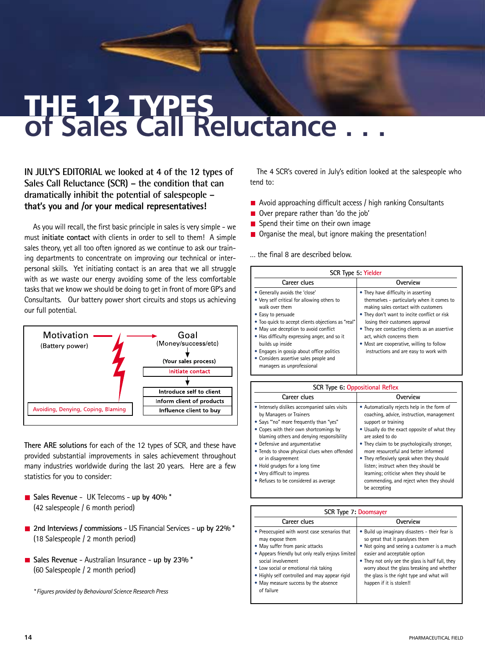## **of Sales Call Reluctance . . .**  THE 12 TYPES

**IN JULY'S EDITORIAL we looked at 4 of the 12 types of Sales Call Reluctance (SCR) – the condition that can dramatically inhibit the potential of salespeople – that's you and /or your medical representatives!**

As you will recall, the first basic principle in sales is very simple - we must **initiate contact** with clients in order to sell to them! A simple sales theory, yet all too often ignored as we continue to ask our training departments to concentrate on improving our technical or interpersonal skills. Yet initiating contact is an area that we all struggle with as we waste our energy avoiding some of the less comfortable tasks that we know we should be doing to get in front of more GP's and Consultants. Our battery power short circuits and stops us achieving our full potential.



**There ARE solutions** for each of the 12 types of SCR, and these have provided substantial improvements in sales achievement throughout many industries worldwide during the last 20 years. Here are a few statistics for you to consider:

- **Sales Revenue** UK Telecoms **up by 40%** \* (42 salespeople / 6 month period)
- **2nd Interviews / commissions** US Financial Services **up by 22%** \* (18 Salespeople / 2 month period)
- **Sales Revenue** Australian Insurance **up by 23%** \* (60 Salespeople / 2 month period)

*\* Figures provided by Behavioural Science Research Press*

The 4 SCR's covered in July's edition looked at the salespeople who tend to:

- **E** Avoid approaching difficult access / high ranking Consultants
- Over prepare rather than 'do the job'
- $\blacksquare$  Spend their time on their own image
- Organise the meal, but ignore making the presentation!

… the final 8 are described below.

| SCR Type 5: Yielder                                                                                                                                                                                                                                                                                                                                                                                           |                                                                                                                                                                                                                                                                                                                                                                                 |
|---------------------------------------------------------------------------------------------------------------------------------------------------------------------------------------------------------------------------------------------------------------------------------------------------------------------------------------------------------------------------------------------------------------|---------------------------------------------------------------------------------------------------------------------------------------------------------------------------------------------------------------------------------------------------------------------------------------------------------------------------------------------------------------------------------|
| Career clues                                                                                                                                                                                                                                                                                                                                                                                                  | Overview                                                                                                                                                                                                                                                                                                                                                                        |
| • Generally avoids the 'close'<br>• Very self critical for allowing others to<br>walk over them<br>• Easy to persuade<br>. Too quick to accept clients objections as "real"<br>• May use deception to avoid conflict<br>• Has difficulty expressing anger, and so it<br>builds up inside<br>• Engages in gossip about office politics<br>• Considers assertive sales people and<br>managers as unprofessional | • They have difficulty in asserting<br>themselves - particularly when it comes to<br>making sales contact with customers<br>• They don't want to incite conflict or risk<br>losing their customers approval<br>• They see contacting clients as an assertive<br>act, which concerns them<br>• Most are cooperative, willing to follow<br>instructions and are easy to work with |

| <b>SCR Type 6: Oppositional Reflex</b>                                                                                                                                                                                                                                                                                                                                                                                      |                                                                                                                                                                                                                                                                                                                                                                                                                                                                       |
|-----------------------------------------------------------------------------------------------------------------------------------------------------------------------------------------------------------------------------------------------------------------------------------------------------------------------------------------------------------------------------------------------------------------------------|-----------------------------------------------------------------------------------------------------------------------------------------------------------------------------------------------------------------------------------------------------------------------------------------------------------------------------------------------------------------------------------------------------------------------------------------------------------------------|
| Career clues                                                                                                                                                                                                                                                                                                                                                                                                                | Overview                                                                                                                                                                                                                                                                                                                                                                                                                                                              |
| . Intensely dislikes accompanied sales visits<br>by Managers or Trainers<br>. Says "'no" more frequently than "yes"<br>• Copes with their own shortcomings by<br>blaming others and denying responsibility<br>• Defensive and argumentative<br>• Tends to show physical clues when offended<br>or in disagreement<br>• Hold grudges for a long time<br>• Very difficult to impress<br>• Refuses to be considered as average | • Automatically rejects help in the form of<br>coaching, advice, instruction, management<br>support or training<br>. Usually do the exact opposite of what they<br>are asked to do<br>• They claim to be psychologically stronger,<br>more resourceful and better informed<br>• They reflexively speak when they should<br>listen; instruct when they should be<br>learning; criticise when they should be<br>commending, and reject when they should<br>be accepting |

| SCR Type 7: Doomsayer                                                                                                                                                                                                                                                                                                         |                                                                                                                                                                                                                                                                                                                                             |
|-------------------------------------------------------------------------------------------------------------------------------------------------------------------------------------------------------------------------------------------------------------------------------------------------------------------------------|---------------------------------------------------------------------------------------------------------------------------------------------------------------------------------------------------------------------------------------------------------------------------------------------------------------------------------------------|
| Career clues                                                                                                                                                                                                                                                                                                                  | Overview                                                                                                                                                                                                                                                                                                                                    |
| • Preoccupied with worst case scenarios that<br>may expose them<br>• May suffer from panic attacks<br>• Appears friendly but only really enjoys limited<br>social involvement<br>• Low social or emotional risk taking<br>• Highly self controlled and may appear rigid<br>• May measure success by the absence<br>of failure | . Build up imaginary disasters - their fear is<br>so great that it paralyses them<br>• Not going and seeing a customer is a much<br>easier and acceptable option<br>• They not only see the glass is half full, they<br>worry about the glass breaking and whether<br>the glass is the right type and what will<br>happen if it is stolen!! |